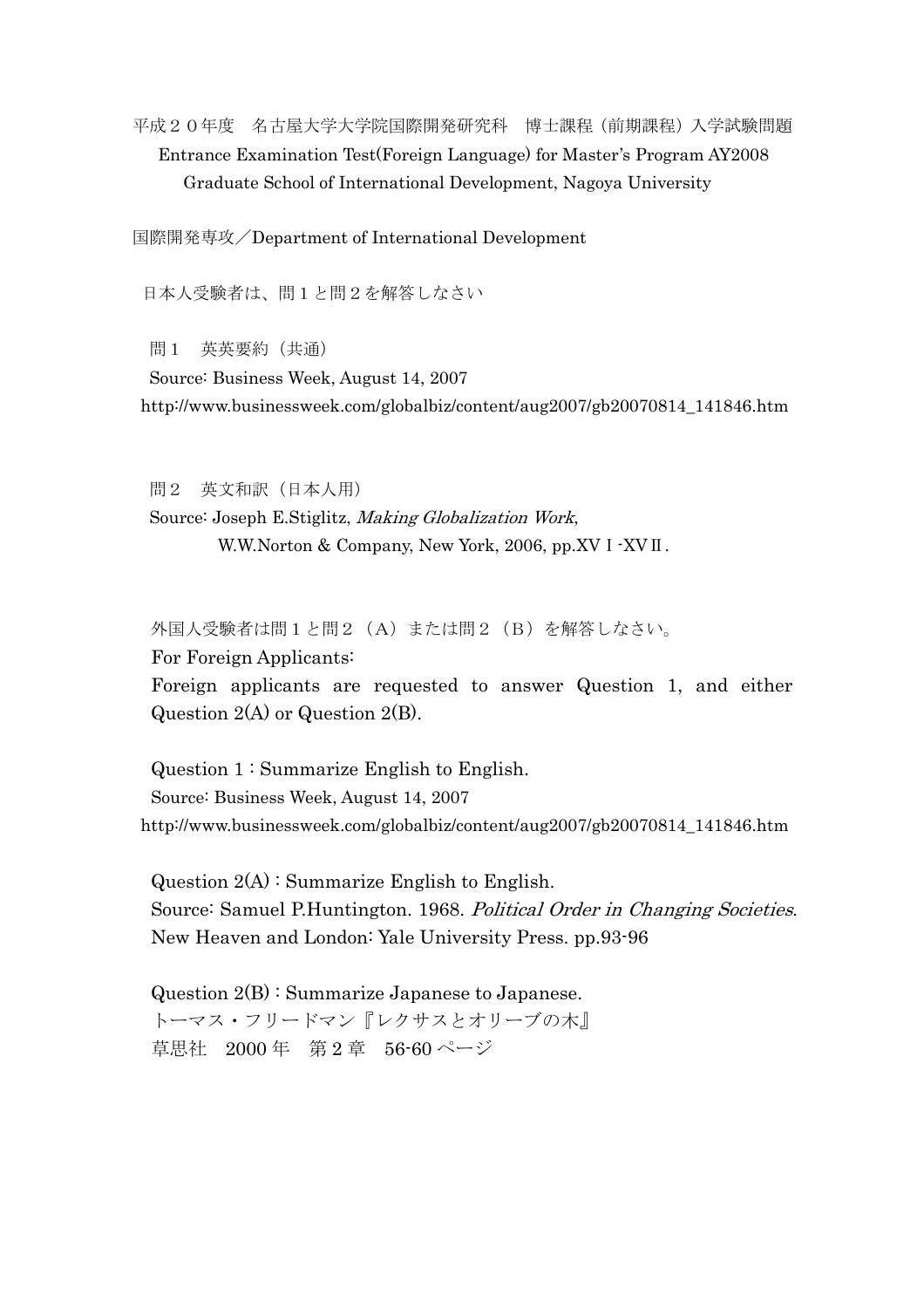平成20年度 名古屋大学大学院国際開発研究科 博士課程(前期課程)入学試験問題 Entrance Examination Test(Foreign Language) for Master's Program AY2008 Graduate School of International Development, Nagoya University

国際開発専攻/Department of International Development

日本人受験者は、問1と問2を解答しなさい

問1 英英要約(共通)

Source: Business Week, August 14, 2007 http://www.businessweek.com/globalbiz/content/aug2007/gb20070814\_141846.htm

 問2 英文和訳(日本人用) Source: Joseph E.Stiglitz, Making Globalization Work, W.W.Norton & Company, New York, 2006, pp.XV I -XV II.

外国人受験者は問1と問2 (A)または問2 (B)を解答しなさい。

For Foreign Applicants:

 Foreign applicants are requested to answer Question 1, and either Question 2(A) or Question 2(B).

Question 1 : Summarize English to English. Source: Business Week, August 14, 2007 http://www.businessweek.com/globalbiz/content/aug2007/gb20070814\_141846.htm

Question  $2(A)$ : Summarize English to English. Source: Samuel P.Huntington. 1968. Political Order in Changing Societies. New Heaven and London: Yale University Press. pp.93-96

 Question 2(B) : Summarize Japanese to Japanese. トーマス・フリードマン『レクサスとオリーブの木』 草思社 2000 年 第 2 章 56-60 ページ